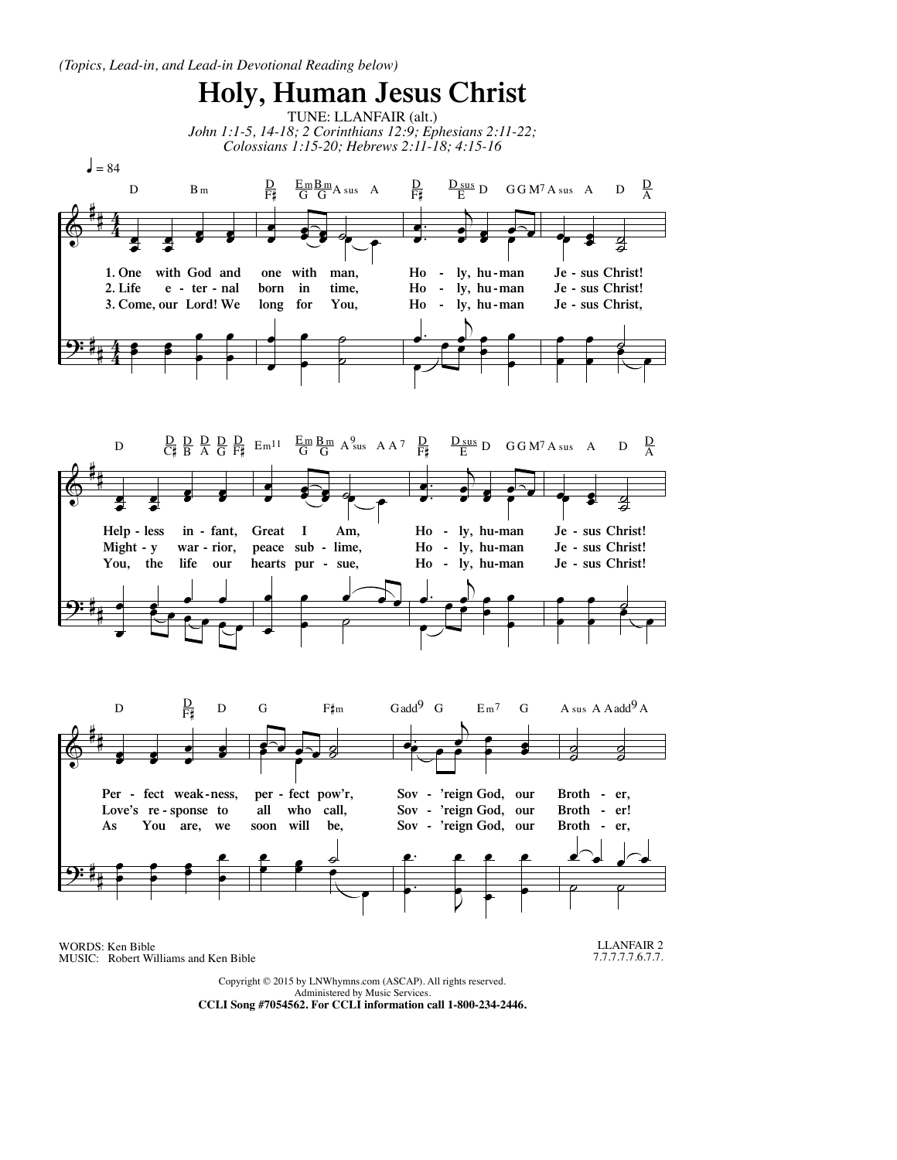

Administered by Music Services.

**CCLI Song #7054562. For CCLI information call 1-800-234-2446.**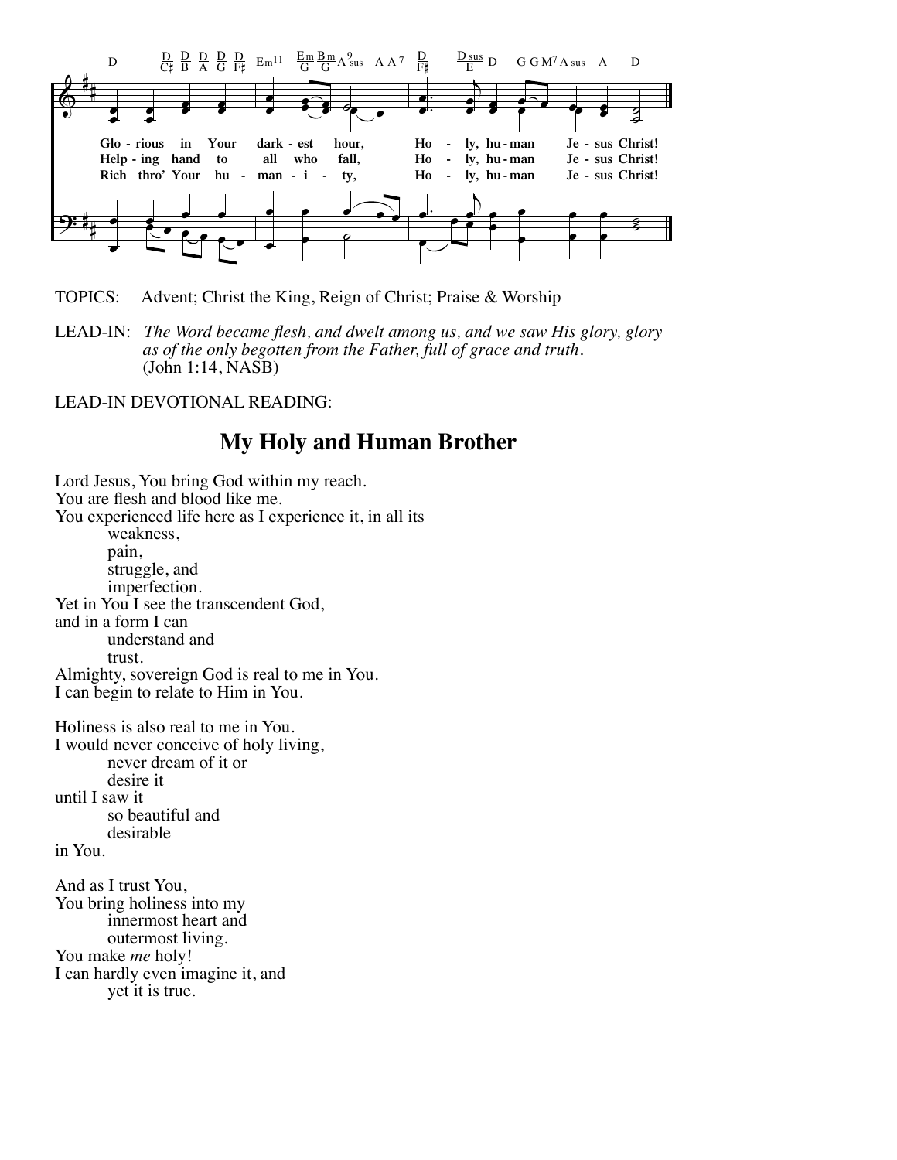

TOPICS: Advent; Christ the King, Reign of Christ; Praise & Worship

LEAD-IN: *The Word became flesh, and dwelt among us, and we saw His glory, glory as of the only begotten from the Father, full of grace and truth.* (John 1:14, NASB)

LEAD-IN DEVOTIONAL READING:

## **My Holy and Human Brother**

Lord Jesus, You bring God within my reach. You are flesh and blood like me. You experienced life here as I experience it, in all its weakness, pain, struggle, and imperfection. Yet in You I see the transcendent God, and in a form I can understand and trust. Almighty, sovereign God is real to me in You. I can begin to relate to Him in You. Holiness is also real to me in You. I would never conceive of holy living, never dream of it or desire it until I saw it so beautiful and desirable in You. And as I trust You, You bring holiness into my

 innermost heart and outermost living. You make *me* holy! I can hardly even imagine it, and yet it is true.